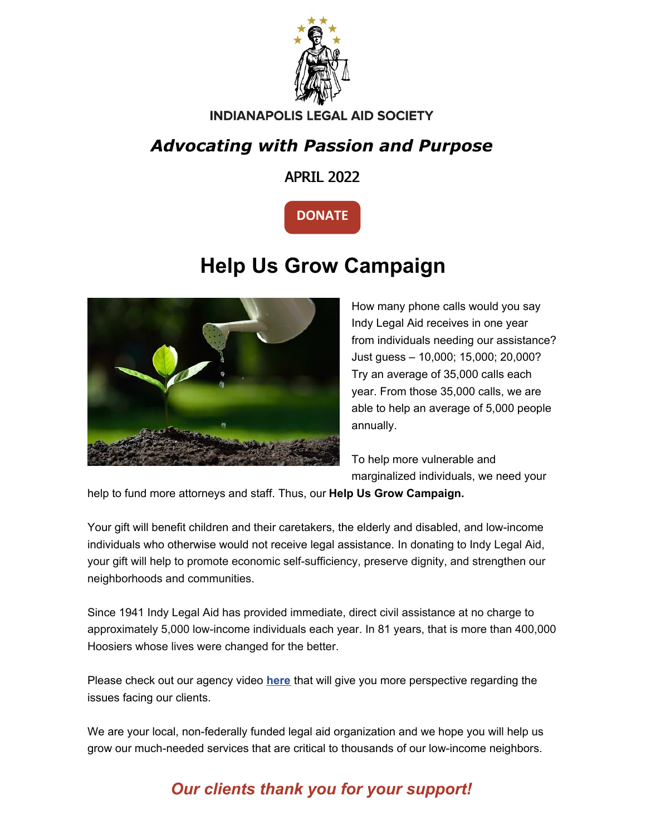

#### **INDIANAPOLIS LEGAL AID SOCIETY**

## *Advocating with Passion and Purpose*

APRIL 2022



# **Help Us Grow Campaign**



How many phone calls would you say Indy Legal Aid receives in one year from individuals needing our assistance? Just guess – 10,000; 15,000; 20,000? Try an average of 35,000 calls each year. From those 35,000 calls, we are able to help an average of 5,000 people annually.

To help more vulnerable and marginalized individuals, we need your

help to fund more attorneys and staff. Thus, our **Help Us Grow Campaign.**

Your gift will benefit children and their caretakers, the elderly and disabled, and low-income individuals who otherwise would not receive legal assistance. In donating to Indy Legal Aid, your gift will help to promote economic self-sufficiency, preserve dignity, and strengthen our neighborhoods and communities.

Since 1941 Indy Legal Aid has provided immediate, direct civil assistance at no charge to approximately 5,000 low-income individuals each year. In 81 years, that is more than 400,000 Hoosiers whose lives were changed for the better.

Please check out our agency video **[here](https://www.indylas.org/agency-video)** that will give you more perspective regarding the issues facing our clients.

We are your local, non-federally funded legal aid organization and we hope you will help us grow our much-needed services that are critical to thousands of our low-income neighbors.

### *Our clients thank you for your support!*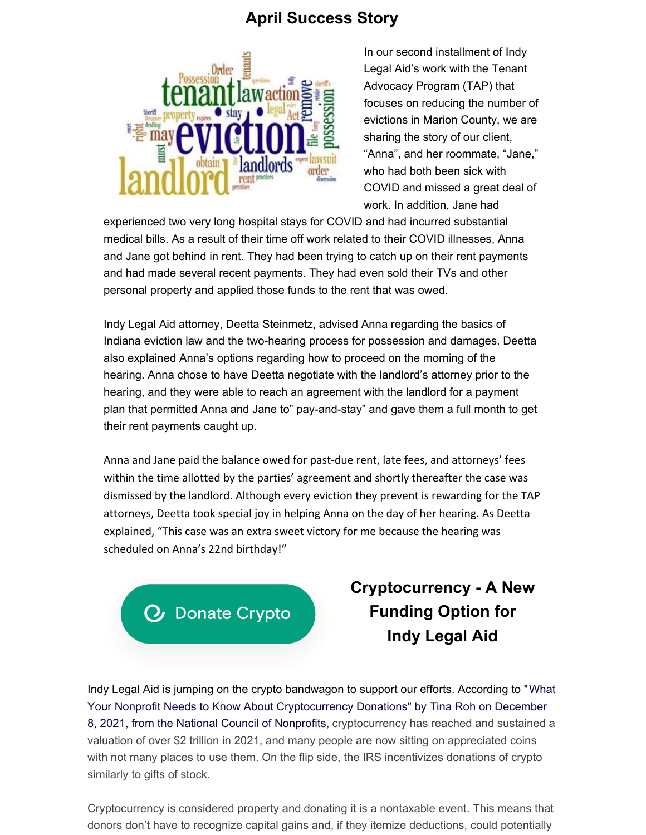#### **April Success Story**



In our second installment of Indy Legal Aid's work with the Tenant Advocacy Program (TAP) that focuses on reducing the number of evictions in Marion County, we are sharing the story of our client, "Anna", and her roommate, "Jane," who had both been sick with COVID and missed a great deal of work. In addition, Jane had

experienced two very long hospital stays for COVID and had incurred substantial medical bills. As a result of their time off work related to their COVID illnesses, Anna and Jane got behind in rent. They had been trying to catch up on their rent payments and had made several recent payments. They had even sold their TVs and other personal property and applied those funds to the rent that was owed.

Indy Legal Aid attorney, Deetta Steinmetz, advised Anna regarding the basics of Indiana eviction law and the two-hearing process for possession and damages. Deetta also explained Anna's options regarding how to proceed on the morning of the hearing. Anna chose to have Deetta negotiate with the landlord's attorney prior to the hearing, and they were able to reach an agreement with the landlord for a payment plan that permitted Anna and Jane to" pay-and-stay" and gave them a full month to get their rent payments caught up.

Anna and Jane paid the balance owed for past-due rent, late fees, and attorneys' fees within the time allotted by the parties' agreement and shortly thereafter the case was dismissed by the landlord. Although every eviction they prevent is rewarding for the TAP attorneys, Deetta took special joy in helping Anna on the day of her hearing. As Deetta explained, "This case was an extra sweet victory for me because the hearing was scheduled on Anna's 22nd birthday!"

**Donate Crypto** 

## **Cryptocurrency - A New Funding Option for Indy Legal Aid**

Indy Legal Aid is jumping on the crypto bandwagon to support our efforts. According to "What Your Nonprofit Needs to Know About Cryptocurrency Donations" by Tina Roh on December 8, 2021, from the National Council of Nonprofits, cryptocurrency has reached and sustained a valuation of over \$2 trillion in 2021, and many people are now sitting on appreciated coins with not many places to use them. On the flip side, the IRS incentivizes donations of crypto similarly to gifts of stock.

Cryptocurrency is considered property and donating it is a [nontaxable](https://www.irs.gov/individuals/international-taxpayers/frequently-asked-questions-on-virtual-currency-transactions) event. This means that donors don't have to recognize capital gains and, if they itemize deductions, could potentially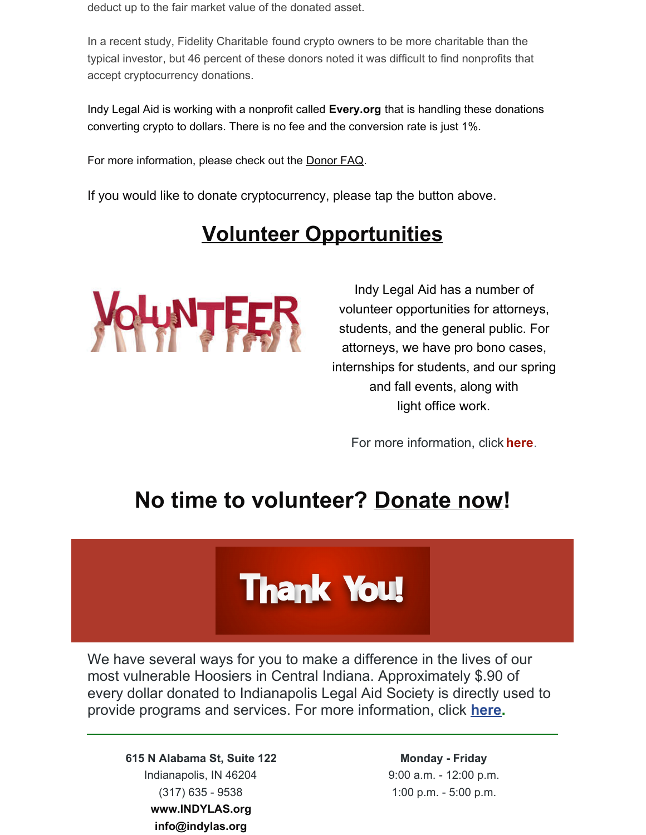deduct up to the fair market value of the donated asset.

In a recent study, Fidelity [Charitable](https://www.fidelitycharitable.org/about-us/news/growing-popularity-of-cryptocurrency-could-fuel-charitable-giving.html) found crypto owners to be more charitable than the typical investor, but 46 percent of these donors noted it was difficult to find nonprofits that accept cryptocurrency donations.

Indy Legal Aid is working with a nonprofit called **Every.org** that is handling these donations converting crypto to dollars. There is no fee and the conversion rate is just 1%.

For more information, please check out the [Donor](https://support.every.org/hc/en-us/sections/1500001365241-Cryptocurrency) FAQ.

If you would like to donate cryptocurrency, please tap the button above.

# **Volunteer Opportunities**



Indy Legal Aid has a number of volunteer opportunities for attorneys, students, and the general public. For attorneys, we have pro bono cases, internships for students, and our spring and fall events, along with light office work.

For more information, click **[here](https://www.indylas.org/volunteering)**[.](https://www.indylas.org/volunteering)

## **No time to volunteer? [Donate](https://interland3.donorperfect.net/weblink/weblink.aspx?name=E5192&id=1) now!**

# **Thank You!**

We have several ways for you to make a difference in the lives of our most vulnerable Hoosiers in Central Indiana. Approximately \$.90 of every dollar donated to Indianapolis Legal Aid Society is directly used to provide programs and services. For more information, click **[here](https://www.indylas.org/support-legal-aid).**

**615 N Alabama St, Suite 122** Indianapolis, IN 46204 (317) 635 - 9538 **[www.INDYLAS.org](http://www.indylas.org/) [info@indylas.org](mailto:ginaw@indylas.org)**

**Monday - Friday** 9:00 a.m. - 12:00 p.m. 1:00 p.m. - 5:00 p.m.